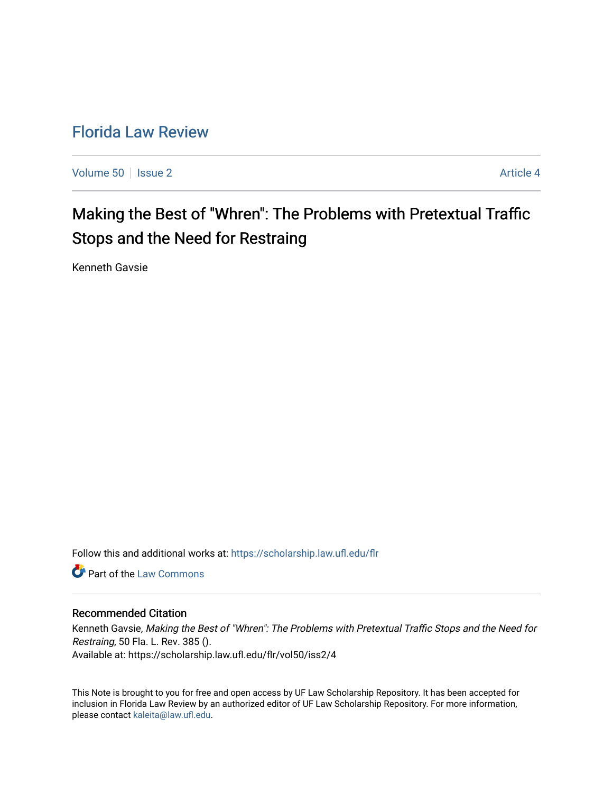## [Florida Law Review](https://scholarship.law.ufl.edu/flr)

[Volume 50](https://scholarship.law.ufl.edu/flr/vol50) | [Issue 2](https://scholarship.law.ufl.edu/flr/vol50/iss2) Article 4

# Making the Best of "Whren": The Problems with Pretextual Traffic Stops and the Need for Restraing

Kenneth Gavsie

Follow this and additional works at: [https://scholarship.law.ufl.edu/flr](https://scholarship.law.ufl.edu/flr?utm_source=scholarship.law.ufl.edu%2Fflr%2Fvol50%2Fiss2%2F4&utm_medium=PDF&utm_campaign=PDFCoverPages)

**C** Part of the [Law Commons](http://network.bepress.com/hgg/discipline/578?utm_source=scholarship.law.ufl.edu%2Fflr%2Fvol50%2Fiss2%2F4&utm_medium=PDF&utm_campaign=PDFCoverPages)

#### Recommended Citation

Kenneth Gavsie, Making the Best of "Whren": The Problems with Pretextual Traffic Stops and the Need for Restraing, 50 Fla. L. Rev. 385 (). Available at: https://scholarship.law.ufl.edu/flr/vol50/iss2/4

This Note is brought to you for free and open access by UF Law Scholarship Repository. It has been accepted for inclusion in Florida Law Review by an authorized editor of UF Law Scholarship Repository. For more information, please contact [kaleita@law.ufl.edu](mailto:kaleita@law.ufl.edu).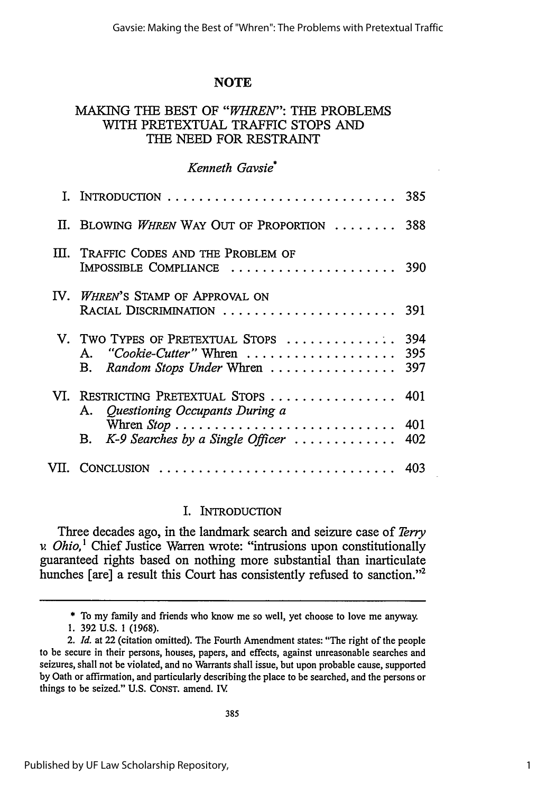#### **NOTE**

## MAKING **THE BEST** OF *"WHREN":* THE PROBLEMS WITH PRETEXTUAL TRAFFIC **STOPS** *AND* THE NEED FOR RESTRAINT

#### *Kenneth Gavsie\**

|                                                                                                                                          | 385               |
|------------------------------------------------------------------------------------------------------------------------------------------|-------------------|
| II. BLOWING WHREN WAY OUT OF PROPORTION  388                                                                                             |                   |
| III. TRAFFIC CODES AND THE PROBLEM OF<br>IMPOSSIBLE COMPLIANCE  390                                                                      |                   |
| IV. WHREN'S STAMP OF APPROVAL ON<br>RACIAL DISCRIMINATION  391                                                                           |                   |
| V. TWO TYPES OF PRETEXTUAL STOPS<br>"Cookie-Cutter" Whren $\ldots \ldots \ldots \ldots \ldots$<br>Α.<br>Random Stops Under Whren<br>В.   | 394<br>395<br>397 |
| VI. RESTRICTING PRETEXTUAL STOPS<br>A. Questioning Occupants During a                                                                    | 401               |
| Whren $Stop \dots \dots \dots \dots \dots \dots \dots \dots \dots \dots$<br>B. $K-9$ Searches by a Single Officer $\ldots \ldots \ldots$ | 401<br>402        |
| VII. CONCLUSION  403                                                                                                                     |                   |

#### I. INTRODUCTION

Three decades ago, in the landmark search and seizure case of *Terry v Ohio,'* Chief Justice Warren wrote: "intrusions upon constitutionally guaranteed rights based on nothing more substantial than inarticulate hunches [are] a result this Court has consistently refused to sanction."<sup>2</sup>

**\*** To my family and friends who know me so well, yet choose to love me anyway.

**<sup>1. 392</sup> U.S. 1 (1968).**

<sup>2.</sup> *Id.* at 22 (citation omitted). The Fourth Amendment states: "The right of the people to be secure in their persons, houses, papers, and effects, against unreasonable searches and seizures, shall not be violated, and no Warrants shall issue, but upon probable cause, supported **by** Oath or affirmation, and particularly describing the place to be searched, and the persons or things to be seized." **U.S. CONST.** amend. IV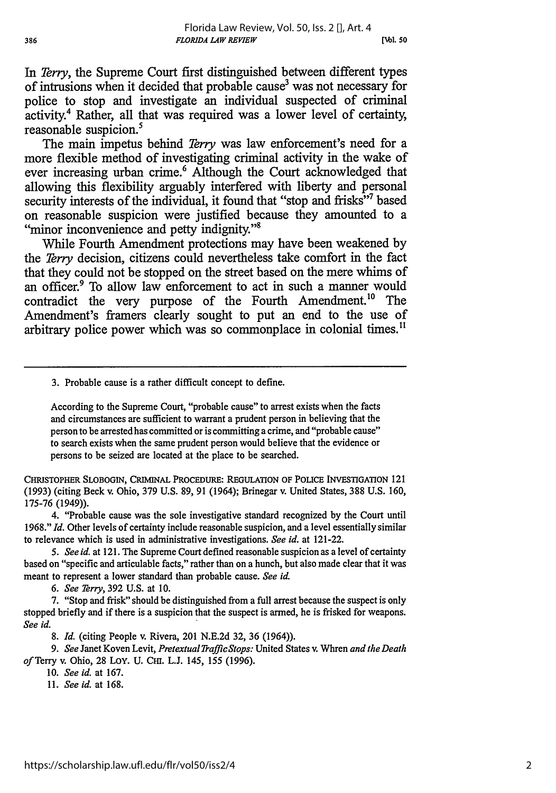In *Terry,* the Supreme Court first distinguished between different types of intrusions when it decided that probable cause<sup>3</sup> was not necessary for police to stop and investigate an individual suspected of criminal activity.4 Rather, all that was required was a lower level of certainty, reasonable suspicion.

The main impetus behind *Terry* was law enforcement's need for a more flexible method of investigating criminal activity in the wake of ever increasing urban crime.<sup>6</sup> Although the Court acknowledged that allowing this flexibility arguably interfered with liberty and personal security interests of the individual, it found that "stop and frisks"<sup>7</sup> based on reasonable suspicion were justified because they amounted to a "minor inconvenience and petty indignity."<sup>8</sup>

While Fourth Amendment protections may have been weakened by the *Terry* decision, citizens could nevertheless take comfort in the fact that they could not be stopped on the street based on the mere whims of an officer.<sup>9</sup> To allow law enforcement to act in such a manner would contradict the very purpose of the Fourth Amendment.<sup>10</sup> The Amendment's framers clearly sought to put an end to the use of arbitrary police power which was so commonplace in colonial times."

3. Probable cause is a rather difficult concept to define.

According to the Supreme Court, "probable cause" to arrest exists when the facts and circumstances are sufficient to warrant a prudent person in believing that the person to be arrested has committed or is committing a crime, and "probable cause" to search exists when the same prudent person would believe that the evidence or persons to be seized are located at the place to be searched.

**CHRISTOPHER SLOBOGIN,** CRIMINAL PROCEDURE: REGULATION **OF POLICE** INVESTIGATION 121 (1993) (citing Beck v. Ohio, **379 U.S. 89, 91** (1964); Brinegar v. United States, 388 U.S. 160, 175-76 (1949)).

4. "Probable cause was the sole investigative standard recognized by the Court until 1968." *Id.* Other levels of certainty include reasonable suspicion, and a level essentially similar to relevance which is used in administrative investigations. *See id.* at 121-22.

*5. Seeid.* at 121. The Supreme Court defined reasonable suspicion as a level of certainty based on "specific and articulable facts," rather than on a hunch, but also made clear that it was meant to represent a lower standard than probable cause. *See id.*

*6. See Terry,* 392 U.S. at 10.

7. "Stop and frisk" should be distinguished from a full arrest because the suspect is only stopped briefly and if there is a suspicion that the suspect is armed, he is frisked for weapons. *See id.*

*8. Id.* (citing People v. Rivera, 201 N.E.2d 32, 36 (1964)).

*9. See* Janet Koven Levit, *PretextualTrafficStops:* United States v. Whren *and the Death of* Terry v. Ohio, 28 LoY. U. CH. L.J. 145, 155 (1996).

10. *See id.* at 167.

11. *See id.* at 168.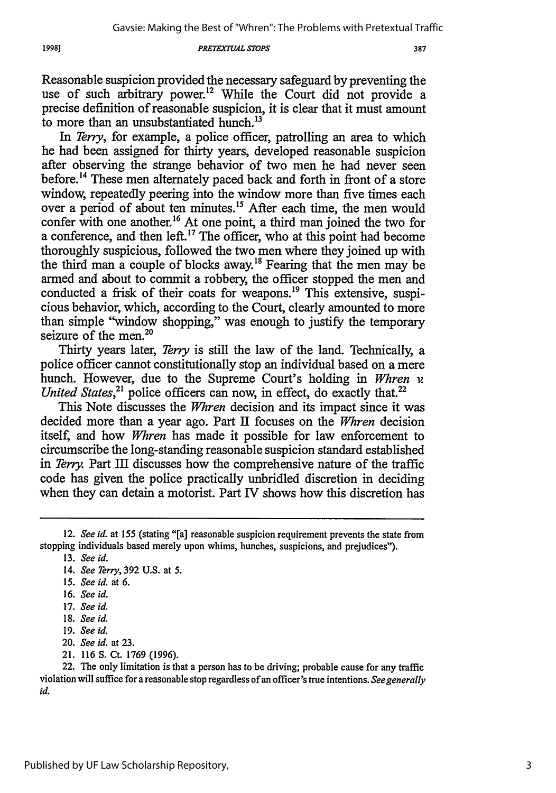*PRETEXTUAL STOPS*

Reasonable suspicion provided the necessary safeguard by preventing the use of such arbitrary power.<sup>12</sup> While the Court did not provide a precise definition of reasonable suspicion, it is clear that it must amount to more than an unsubstantiated hunch.<sup>13</sup>

In *Terry,* for example, a police officer, patrolling an area to which he had been assigned for thirty years, developed reasonable suspicion after observing the strange behavior of two men he had never seen before.<sup>14</sup> These men alternately paced back and forth in front of a store window, repeatedly peering into the window more than five times each over a period of about ten minutes.<sup>15</sup> After each time, the men would confer with one another.<sup>16</sup> At one point, a third man joined the two for a conference, and then left.<sup>17</sup> The officer, who at this point had become thoroughly suspicious, followed the two men where they joined up with the third man a couple of blocks away.<sup>18</sup> Fearing that the men may be armed and about to commit a robbery, the officer stopped the men and conducted a frisk of their coats for weapons.<sup>19</sup> This extensive, suspicious behavior, which, according to the Court, clearly amounted to more than simple "window shopping," was enough to justify the temporary seizure of the men. $20$ 

Thirty years later, *Terry* is still the law of the land. Technically, a police officer cannot constitutionally stop an individual based on a mere hunch. However, due to the Supreme Court's holding in *Whren v. United States*,<sup>21</sup> police officers can now, in effect, do exactly that.<sup>22</sup>

This Note discusses the *Whren* decision and its impact since it was decided more than a year ago. Part II focuses on the *Whren* decision itself, and how *Whren* has made it possible for law enforcement to circumscribe the long-standing reasonable suspicion standard established in *Terry.* Part III discusses how the comprehensive nature of the traffic code has given the police practically unbridled discretion in deciding when they can detain a motorist. Part IV shows how this discretion has

19981

21. 116 S. Ct. 1769 (1996).

*<sup>12.</sup> See id.* at 155 (stating "[a] reasonable suspicion requirement prevents the state from stopping individuals based merely upon whims, hunches, suspicions, and prejudices").

<sup>13.</sup> *See id.*

<sup>14.</sup> *See Terry,* 392 U.S. at 5.

*<sup>15.</sup> See id.* at 6.

<sup>16.</sup> *See id.*

<sup>17.</sup> *See id.*

<sup>18.</sup> *See id.*

<sup>19.</sup> *See id.*

<sup>20.</sup> *See id.* at 23.

<sup>22.</sup> The only limitation is that a person has to be driving; probable cause for any traffic violation will suffice for a reasonable stop regardless of an officer's true intentions. *See generally* id.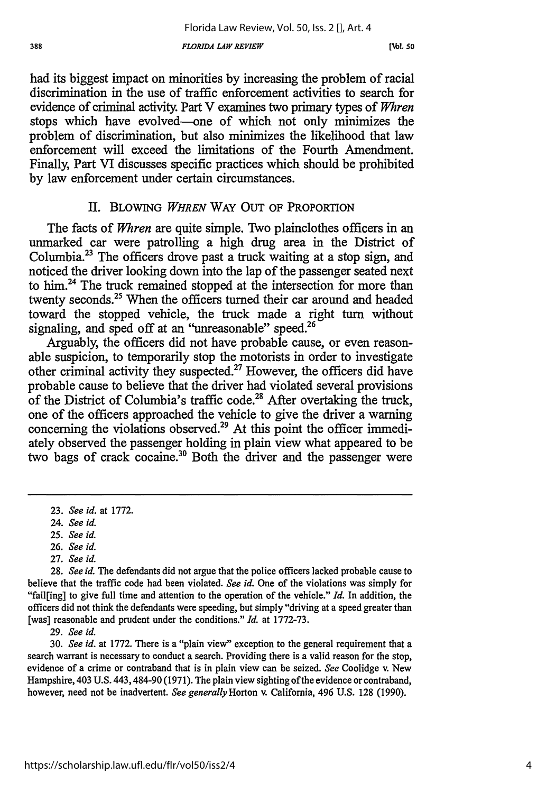**[Nb1. so**

had its biggest impact on minorities by increasing the problem of racial discrimination in the use of traffic enforcement activities to search for evidence of criminal activity. Part V examines two primary types of *Whren* stops which have evolved--one of which not only minimizes the problem of discrimination, but also minimizes the likelihood that law enforcement will exceed the limitations of the Fourth Amendment. Finally, Part VI discusses specific practices which should be prohibited by law enforcement under certain circumstances.

#### II. BLOWING *WHREN* WAY OUT OF PROPORTION

The facts of *Whren* are quite simple. Two plainclothes officers in an unmarked car were patrolling a high drug area in the District of Columbia.23 The officers drove past a truck waiting at a stop sign, and noticed the driver looking down into the lap of the passenger seated next to him.<sup>24</sup> The truck remained stopped at the intersection for more than twenty seconds.<sup>25</sup> When the officers turned their car around and headed toward the stopped vehicle, the truck made a right turn without signaling, and sped off at an "unreasonable" speed.<sup>26</sup>

Arguably, the officers did not have probable cause, or even reasonable suspicion, to temporarily stop the motorists in order to investigate other criminal activity they suspected.27 However, the officers did have probable cause to believe that the driver had violated several provisions of the District of Columbia's traffic code.<sup>28</sup> After overtaking the truck, one of the officers approached the vehicle to give the driver a warning concerning the violations observed.<sup>29</sup> At this point the officer immediately observed the passenger holding in plain view what appeared to be two bags of crack cocaine.<sup>30</sup> Both the driver and the passenger were

- 25. *See id.*
- 26. *See id.*
- 27. *See id.*

29. *See id.*

30. *See id.* at 1772. There is a "plain view" exception to the general requirement that a search warrant is necessary to conduct a search. Providing there is a valid reason for the stop, evidence of a crime or contraband that is in plain view can be seized. *See* Coolidge v. New Hampshire, 403 U.S. 443,484-90 (1971). The plain view sighting ofthe evidence or contraband, however, need not be inadvertent. *See generally Horton* v. California, 496 U.S. 128 (1990).

<sup>23.</sup> *See id.* at 1772.

<sup>24.</sup> *See id.*

<sup>28.</sup> *See id.* The defendants did not argue that the police officers lacked probable cause to believe that the traffic code had been violated. *See id.* One of the violations was simply for "fail[ing] to give full time and attention to the operation of the vehicle." *Id.* In addition, the officers did not think the defendants were speeding, but simply "driving at a speed greater than [was] reasonable and prudent under the conditions." *Id.* at 1772-73.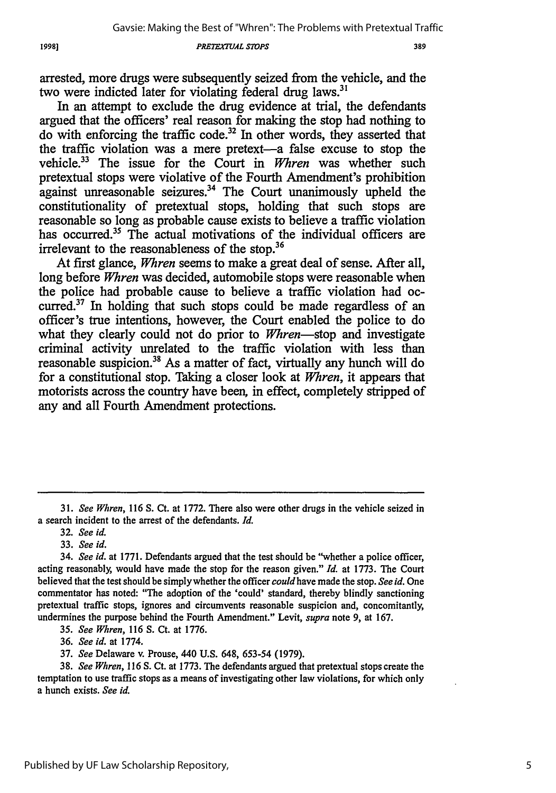19981

#### **PRETEXTUAL STOPS**

arrested, more drugs were subsequently seized from the vehicle, and the two were indicted later for violating federal drug laws.<sup>31</sup>

In an attempt to exclude the drug evidence at trial, the defendants argued that the officers' real reason for making the stop had nothing to do with enforcing the traffic code.<sup>32</sup> In other words, they asserted that the traffic violation was a mere pretext-a false excuse to stop the vehicle.<sup>33</sup> The issue for the Court in *Whren* was whether such pretextual stops were violative of the Fourth Amendment's prohibition against unreasonable seizures. $34$  The Court unanimously upheld the constitutionality of pretextual stops, holding that such stops are reasonable so long as probable cause exists to believe a traffic violation has occurred.<sup>35</sup> The actual motivations of the individual officers are irrelevant to the reasonableness of the stop.<sup>36</sup>

At first glance, *Whren* seems to make a great deal of sense. After all, long before *Whren* was decided, automobile stops were reasonable when the police had probable cause to believe a traffic violation had occurred.<sup>37</sup> In holding that such stops could be made regardless of an officer's true intentions, however, the Court enabled the police to do what they clearly could not do prior to Whren-stop and investigate criminal activity unrelated to the traffic violation with less than reasonable suspicion.<sup>38</sup> As a matter of fact, virtually any hunch will do for a constitutional stop. Taking a closer look at *Whren,* it appears that motorists across the country have been, in effect, completely stripped of any and all Fourth Amendment protections.

36. *See id.* at 1774.

<sup>31.</sup> *See Whren,* **116 S.** Ct. at 1772. There also were other drugs in the vehicle seized in a search incident to the arrest of the defendants. *Id.*

*<sup>32.</sup> See id.*

**<sup>33.</sup>** *See id.*

<sup>34.</sup> *See id.* at 1771. Defendants argued that the test should be "whether a police officer, acting reasonably, would have made the stop for the reason given." *Id.* at 1773. The Court believed that the test should be simplywhether the officer couldhave made the stop. *See id.* One commentator has noted: "The adoption of the 'could' standard, thereby blindly sanctioning pretextual traffic stops, ignores and circumvents reasonable suspicion and, concomitantly, undermines the purpose behind the Fourth Amendment." Levit, *supra* note 9, at 167.

*<sup>35.</sup> See Whren,* 116 S. Ct. at 1776.

<sup>37.</sup> *See* Delaware v. Prouse, 440 U.S. 648, 653-54 **(1979).**

<sup>38.</sup> *See Whren,* 116 *S.* Ct. at 1773. The defendants argued that pretextual stops create the temptation to use traffic stops as a means **of** investigating other law violations, for which only a hunch exists. *See id.*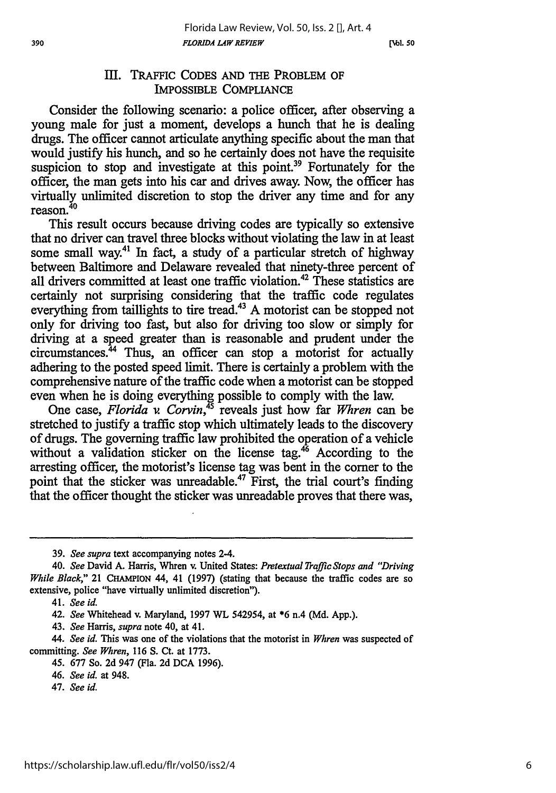#### Ill. TRAFFIC **CODES AND** THE PROBLEM OF IMPOSSIBLE COMPLIANCE

Consider the following scenario: a police officer, after observing a young male for just a moment, develops a hunch that he is dealing drugs. The officer cannot articulate anything specific about the man that would justify his hunch, and so he certainly does not have the requisite suspicion to stop and investigate at this point.<sup>39</sup> Fortunately for the officer, the man gets into his car and drives away. Now, the officer has virtually unlimited discretion to stop the driver any time and for any reason.<sup>40</sup>

This result occurs because driving codes are typically so extensive that no driver can travel three blocks without violating the law in at least some small way.<sup>41</sup> In fact, a study of a particular stretch of highway between Baltimore and Delaware revealed that ninety-three percent of all drivers committed at least one traffic violation.<sup>42</sup> These statistics are certainly not surprising considering that the traffic code regulates everything from taillights to tire tread.<sup>43</sup> A motorist can be stopped not only for driving too fast, but also for driving too slow or simply for driving at a speed greater than is reasonable and prudent under the circumstances.<sup>44</sup> Thus, an officer can stop a motorist for actually adhering to the posted speed limit. There is certainly a problem with the comprehensive nature of the traffic code when a motorist can be stopped even when he is doing everything possible to comply with the law.

One case, *Florida v. Corvin,45* reveals just how far *Whren* can be stretched to justify a traffic stop which ultimately leads to the discovery of drugs. The governing traffic law prohibited the operation of a vehicle without a validation sticker on the license tag.<sup>46</sup> According to the arresting officer, the motorist's license tag was bent in the corner to the point that the sticker was unreadable.<sup>47</sup> First, the trial court's finding that the officer thought the sticker was unreadable proves that there was,

43. *See* Harris, *supra* note 40, at 41.

*44. See id.* This was one of the violations that the motorist in *Whren* was suspected of committing. *See Whren,* 116 **S.** Ct. at 1773.

47. *See id.*

<sup>39.</sup> *See supra* text accompanying notes 2-4.

<sup>40.</sup> *See* David A. Harris, Whren v. United States: *Pretextual Traffic Stops and "Driving While Black,"* 21 **CHAMPION** 44, 41 (1997) (stating that because the traffic codes are so extensive, police "have virtually unlimited discretion").

<sup>41.</sup> *See id.*

*<sup>42.</sup> See* Whitehead v. Maryland, 1997 WL 542954, at \*6 n.4 (Md. App.).

<sup>45. 677</sup> So. 2d 947 (Fla. 2d **DCA** 1996).

<sup>46.</sup> *See id.* at 948.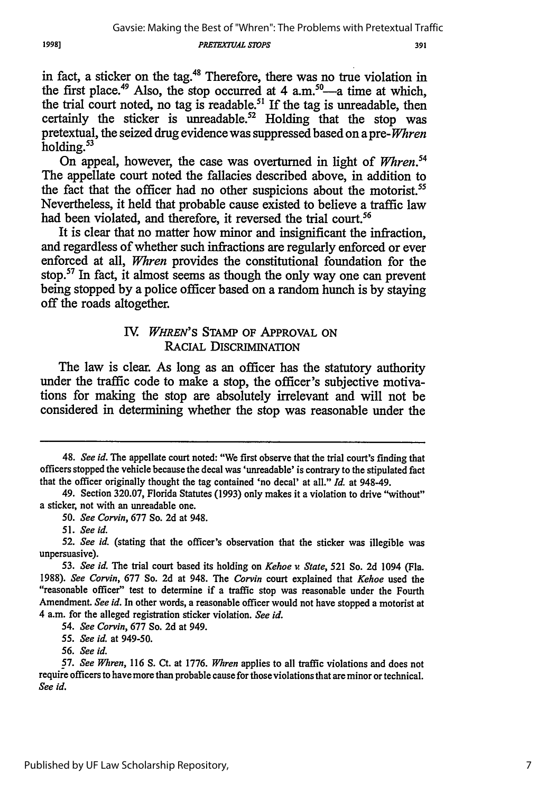**PRETEXTUAL STOPS** 

391

in fact, a sticker on the tag.48 Therefore, there was no true violation in the first place.<sup>49</sup> Also, the stop occurred at 4 a.m.<sup>50</sup>—a time at which, the trial court noted, no tag is readable.<sup>51</sup> If the tag is unreadable, then certainly the sticker is unreadable.<sup>52</sup> Holding that the stop was pretextual, the seized drug evidence was suppressed based on a pre- *Whren* holding.<sup>53</sup>

On appeal, however, the case was overturned in light of *Whren.54* The appellate court noted the fallacies described above, in addition to the fact that the officer had no other suspicions about the motorist.<sup>55</sup> Nevertheless, it held that probable cause existed to believe a traffic law had been violated, and therefore, it reversed the trial court.<sup>56</sup>

It is clear that no matter how minor and insignificant the infraction, and regardless of whether such infractions are regularly enforced or ever enforced at all, *Whren* provides the constitutional foundation for the stop.57 In fact, it almost seems as though the only way one can prevent being stopped by a police officer based on a random hunch is by staying off the roads altogether.

## IV. WHREN'S STAMP OF APPROVAL ON RACIAL **DISCRIMINATION**

The law is clear. As long as an officer has the statutory authority under the traffic code to make a stop, the officer's subjective motivations for making the stop are absolutely irrelevant and will not be considered in determining whether the stop was reasonable under the

54. *See Corvin,* 677 So. 2d at 949.

<sup>48.</sup> *See id.* The appellate court noted: "We first observe that the trial court's finding that officers stopped the vehicle because the decal was 'unreadable' is contrary to the stipulated fact that the officer originally thought the tag contained 'no decal' at all." *Id.* at 948-49.

<sup>49.</sup> Section 320.07, Florida Statutes (1993) only makes it a violation to drive "without" a sticker, not with an unreadable one.

*<sup>50.</sup> See Corvin,* 677 So. 2d at 948.

*<sup>51.</sup> See id.*

*<sup>52.</sup> See id.* (stating that the officer's observation that the sticker was illegible was unpersuasive).

*<sup>53.</sup> See id.* The trial court based its holding on *Kehoe v State,* 521 So. 2d 1094 (Fla. 1988). *See Corvin,* 677 So. 2d at 948. The *Corvin* court explained that *Kehoe* used the "reasonable officer" test to determine if a traffic stop was reasonable under the Fourth Amendment. *See id.* In other words, a reasonable officer would not have stopped a motorist at 4 a.m. for the alleged registration sticker violation. *See id.*

*<sup>55.</sup> See id.* at 949-50.

*<sup>56.</sup> See id.*

*<sup>57.</sup> See Whren,* **116 S.** Ct. at 1776. *Whren* applies to all traffic violations and does not require officers to have more than probable cause for those violations that are minor or technical. *See id.*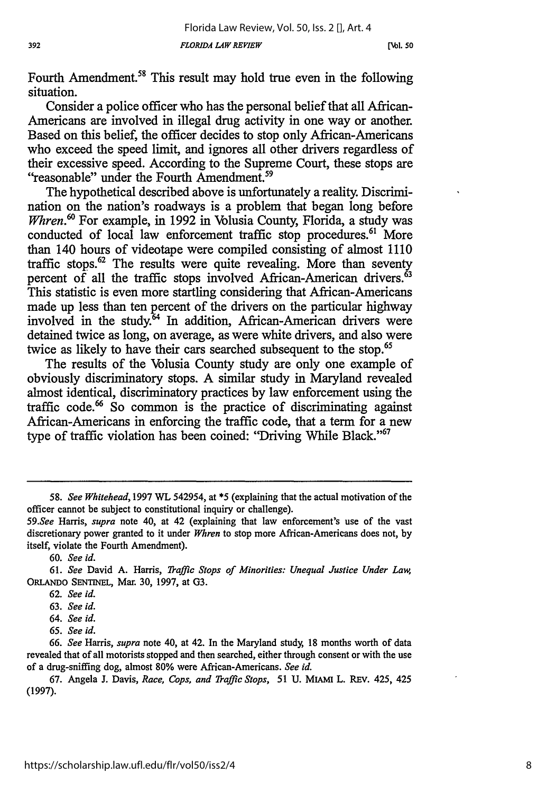**[Nb1. 50**

Fourth Amendment.<sup>58</sup> This result may hold true even in the following situation.

Consider a police officer who has the personal belief that all African-Americans are involved in illegal drug activity in one way or another. Based on this belief, the officer decides to stop only African-Americans who exceed the speed limit, and ignores all other drivers regardless of their excessive speed. According to the Supreme Court, these stops are "reasonable" under the Fourth Amendment.<sup>59</sup>

The hypothetical described above is unfortunately a reality. Discrimination on the nation's roadways is a problem that began long before Whren.<sup>60</sup> For example, in 1992 in Volusia County, Florida, a study was conducted of local law enforcement traffic stop procedures.<sup>61</sup> More than 140 hours of videotape were compiled consisting of almost 1110 traffic stops. $62$  The results were quite revealing. More than seventy percent of all the traffic stops involved African-American drivers.<sup>63</sup> This statistic is even more startling considering that African-Americans made up less than ten percent of the drivers on the particular highway involved in the study.<sup>64</sup> In addition, African-American drivers were detained twice as long, on average, as were white drivers, and also were twice as likely to have their cars searched subsequent to the stop.<sup>65</sup>

The results of the Volusia County study are only one example of obviously discriminatory stops. A similar study in Maryland revealed almost identical, discriminatory practices by law enforcement using the traffic code.<sup>66</sup> So common is the practice of discriminating against African-Americans in enforcing the traffic code, that a term for a new type of traffic violation has been coined: "Driving While Black."<sup>67</sup>

60. *See id.*

*<sup>58.</sup> See Whitehead,* 1997 WL 542954, at \*5 (explaining that the actual motivation of the officer cannot be subject to constitutional inquiry or challenge).

*<sup>59.</sup>See* Harris, *supra* note 40, at 42 (explaining that law enforcement's use of the vast discretionary power granted to it under *Whren* to stop more African-Americans does not, by itself, violate the Fourth Amendment).

<sup>61.</sup> *See* David A. Harris, *Traffic Stops of Minorities: Unequal Justice Under Law,* ORLANDO **SENTINEL,** Mar. 30, 1997, at G3.

<sup>62.</sup> *See id.*

<sup>63.</sup> *See id.*

*<sup>64.</sup> See id.*

*<sup>65.</sup> See id.*

<sup>66.</sup> *See* Harris, *supra* note 40, at 42. In the Maryland study, 18 months worth of data revealed that of all motorists stopped and then searched, either through consent or with the use of a drug-sniffing dog, almost 80% were African-Americans. *See id.*

<sup>67.</sup> Angela **J.** Davis, *Race, Cops, and Traffic Stops,* 51 U. MIAM L. REV. 425, 425 (1997).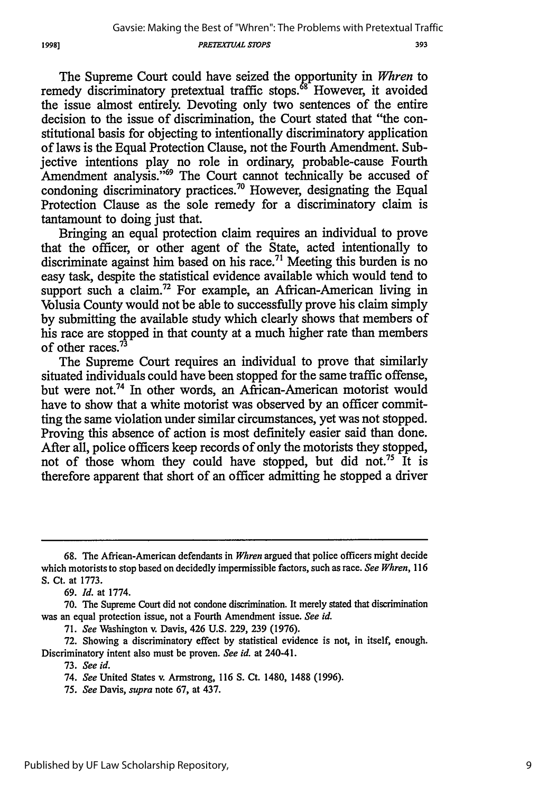*PRETEXTUAL STOPS*

393

The Supreme Court could have seized the opportunity in *Whren* to remedy discriminatory pretextual traffic stops.<sup>68</sup> However, it avoided the issue almost entirely. Devoting only two sentences of the entire decision to the issue of discrimination, the Court stated that "the constitutional basis for objecting to intentionally discriminatory application of laws is the Equal Protection Clause, not the Fourth Amendment. Subjective intentions play no role in ordinary, probable-cause Fourth Amendment analysis."<sup>69</sup> The Court cannot technically be accused of condoning discriminatory practices.<sup>70</sup> However, designating the Equal Protection Clause as the sole remedy for a discriminatory claim is tantamount to doing just that.

Bringing an equal protection claim requires an individual to prove that the officer, or other agent of the State, acted intentionally to discriminate against him based on his race.<sup>71</sup> Meeting this burden is no easy task, despite the statistical evidence available which would tend to support such a claim.<sup>72</sup> For example, an African-American living in Volusia County would not be able to successfully prove his claim simply by submitting the available study which clearly shows that members of his race are stopped in that county at a much higher rate than members of other races.<sup>73</sup>

The Supreme Court requires an individual to prove that similarly situated individuals could have been stopped for the same traffic offense, but were not.74 In other words, an African-American motorist would have to show that a white motorist was observed by an officer committing the same violation under similar circumstances, yet was not stopped. Proving this absence of action is most definitely easier said than done. After all, police officers keep records of only the motorists they stopped, not of those whom they could have stopped, but did not.<sup>75</sup> It is therefore apparent that short of an officer admitting he stopped a driver

**<sup>68.</sup>** The African-American defendants in *Whren* argued that police officers might decide which motorists to stop based on decidedly impermissible factors, such as race. *See Whren, 116* **S.** Ct. at 1773.

<sup>69.</sup> *Id.* at 1774.

<sup>70.</sup> The Supreme Court did not condone discrimination. It merely stated that discrimination was an equal protection issue, not a Fourth Amendment issue. *See id.*

<sup>71.</sup> *See* Washington v. Davis, 426 U.S. 229, 239 (1976).

<sup>72.</sup> Showing a discriminatory effect by statistical evidence is not, in itself, enough. Discriminatory intent also must be proven. *See id.* at 240-41.

<sup>73.</sup> *See id.*

<sup>74.</sup> *See* United States v. Armstrong, 116 **S.** Ct. 1480, 1488 (1996).

*<sup>75.</sup> See* Davis, *supra* note 67, at 437.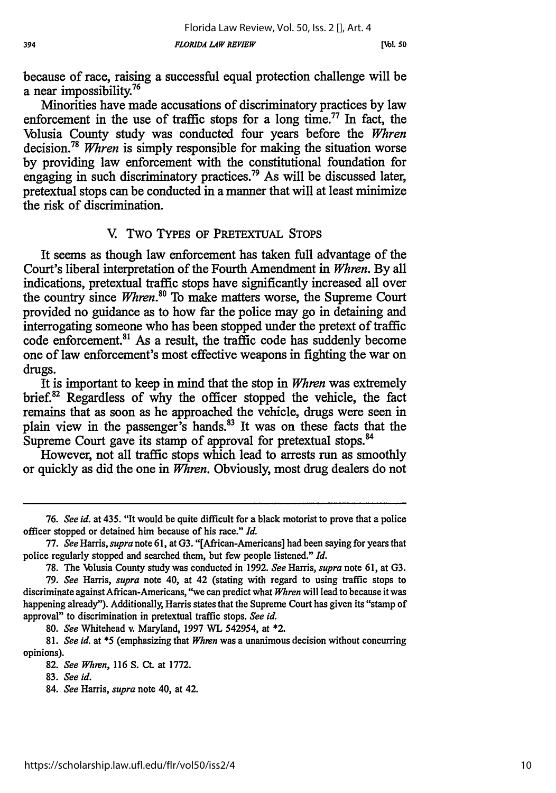because of race, raising a successful equal protection challenge will be a near impossibility.<sup>76</sup>

Minorities have made accusations of discriminatory practices by law enforcement in the use of traffic stops for a long time.<sup>77</sup> In fact, the Volusia County study was conducted four years before the *Whren* decision. <sup>78</sup>*Whren* is simply responsible for making the situation worse by providing law enforcement with the constitutional foundation for engaging in such discriminatory practices.<sup>79</sup> As will be discussed later, pretextual stops can be conducted in a manner that will at least minimize the risk of discrimination.

#### V Two TYPES OF PRETEXTUAL **STOPS**

It seems as though law enforcement has taken full advantage of the Court's liberal interpretation of the Fourth Amendment in *Whren.* By all indications, pretextual traffic stops have significantly increased all over the country since Whren.<sup>80</sup> To make matters worse, the Supreme Court provided no guidance as to how far the police may go in detaining and interrogating someone who has been stopped under the pretext of traffic code enforcement. 81 As a result, the traffic code has suddenly become one of law enforcement's most effective weapons in fighting the war on drugs.

It is important to keep in mind that the stop in *Whren* was extremely brief.<sup>82</sup> Regardless of why the officer stopped the vehicle, the fact remains that as soon as he approached the vehicle, drugs were seen in plain view in the passenger's hands.<sup>83</sup> It was on these facts that the Supreme Court gave its stamp of approval for pretextual stops.<sup>84</sup>

However, not all traffic stops which lead to arrests run as smoothly or quickly as did the one in *Whren.* Obviously, most drug dealers do not

80. *See* Whitehead v. Maryland, 1997 WL 542954, at \*2.

81. *See id.* at \*5 (emphasizing that *Whren* was a unanimous decision without concurring opinions).

<sup>76.</sup> *See id.* at 435. "It would be quite difficult for a black motorist to prove that a police officer stopped or detained him because of his race." *Id.*

<sup>77.</sup> *See Harris, supra* note **61,** at G3. "[African-Americans] had been saying for years that police regularly stopped and searched them, but few people listened." *Id.*

<sup>78.</sup> The \Nblusia County study was conducted in 1992. *See* Harris, *supra* note 61, at G3.

<sup>79.</sup> *See* Harris, *supra* note 40, at 42 (stating with regard to using traffic stops to discriminate against African-Americans, "we can predict what *Whren* will lead to because it was happening already"). Additionally, Harris states that the Supreme Court has given its "stamp of approval" to discrimination in pretextual traffic stops. *See id.*

*<sup>82.</sup> See Whren,* 116 S. Ct. at 1772.

<sup>83.</sup> *See id.*

<sup>84.</sup> *See* Harris, *supra* note 40, at 42.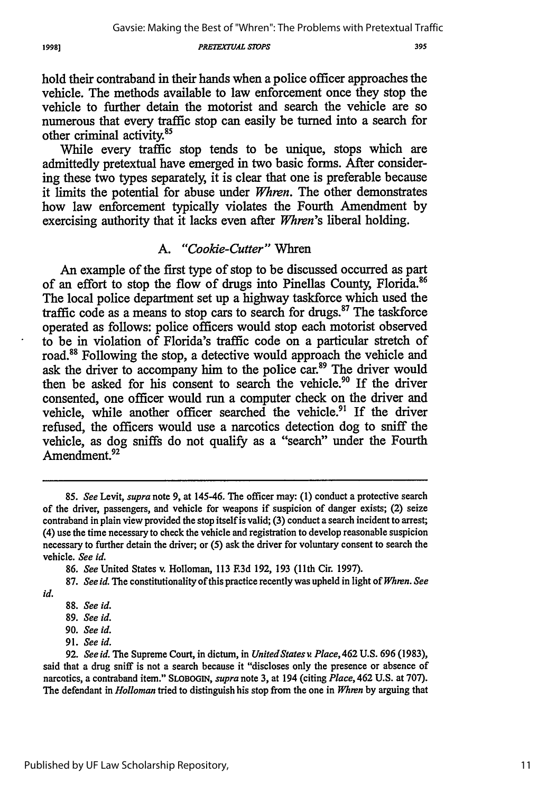*PRETEX77JAL S7OPS*

hold their contraband in their hands when a police officer approaches the vehicle. The methods available to law enforcement once they stop the vehicle to further detain the motorist and search the vehicle are so numerous that every traffic stop can easily be turned into a search for other criminal activity.<sup>85</sup>

While every traffic stop tends to be unique, stops which are admittedly pretextual have emerged in two basic forms. After considering these two types separately, it is clear that one is preferable because it limits the potential for abuse under *Whren.* The other demonstrates how law enforcement typically violates the Fourth Amendment by exercising authority that it lacks even after *Whren's* liberal holding.

## *A. "Cookie-Cutter"* Whren

An example of the first type of stop to be discussed occurred as part of an effort to stop the flow of drugs into Pinellas County, Florida.<sup>86</sup> The local police department set up a highway taskforce which used the traffic code as a means to stop cars to search for drugs." The taskforce operated as follows: police officers would stop each motorist observed to be in violation of Florida's traffic code on a particular stretch of road.8 Following the stop, a detective would approach the vehicle and ask the driver to accompany him to the police car.<sup>89</sup> The driver would then be asked for his consent to search the vehicle.<sup>90</sup> If the driver consented, one officer would run a computer check on the driver and vehicle, while another officer searched the vehicle.<sup>91</sup> If the driver refused, the officers would use a narcotics detection dog to sniff the vehicle, as dog sniffs do not qualify as a "search" under the Fourth Amendment.<sup>92</sup>

<sup>85.</sup> *See* Levit, *supra* note 9, at 145-46. The officer may: (1) conduct a protective search of the driver, passengers, and vehicle for weapons if suspicion of danger exists; (2) seize contraband in plain view provided the stop itself is valid; (3) conduct a search incident to arrest; (4) use the time necessary to check the vehicle and registration to develop reasonable suspicion necessary to further detain the driver; or **(5)** ask the driver for voluntary consent to search the vehicle. *See id.*

**<sup>86.</sup>** *See* United States v. Holloman, 113 **F3d** 192, 193 (11th Cir. 1997).

<sup>87.</sup> *See id.* The constitutionality of this practice recently was upheld in light of *Whren. See*

*id.*

**<sup>88.</sup>** *See id.* **89.** *See id.*

**<sup>90.</sup>** *See id.*

**<sup>91.</sup>** *See id.*

**<sup>92.</sup>** *See id.* The Supreme Court, in dictum, in *United States v. Place,462* **U.S. 696 (1983),** said that a drug sniff is not a search because it "discloses only the presence or absence of narcotics, a contraband item." **SLOBOGIN,** *supra* note **3,** at 194 (citing *Place,* 462 **U.S.** at **707).** The defendant in *Holloman* tried to distinguish his stop from the one in *Whrn* **by** arguing that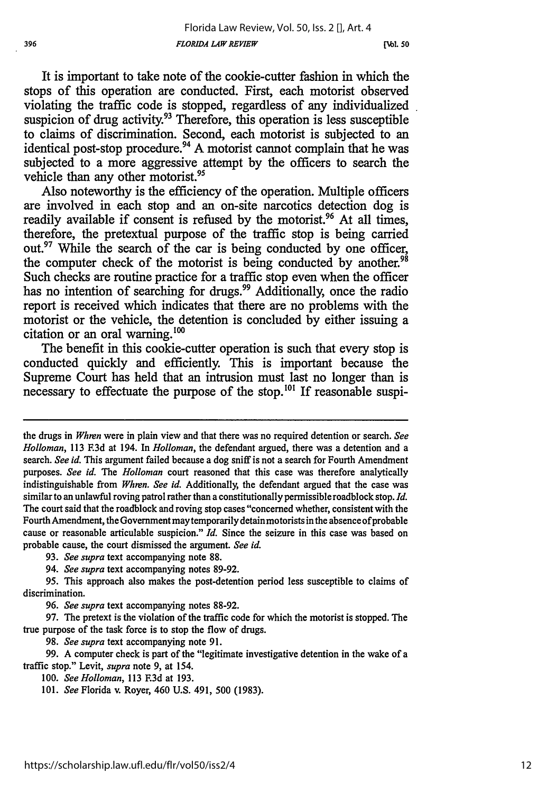**[Vol. 50**

It is important to take note of the cookie-cutter fashion in which the stops of this operation are conducted. First, each motorist observed violating the traffic code is stopped, regardless of any individualized suspicion of drug activity.<sup>93</sup> Therefore, this operation is less susceptible to claims of discrimination. Second, each motorist is subjected to an identical post-stop procedure.<sup>94</sup> A motorist cannot complain that he was subjected to a more aggressive attempt by the officers to search the vehicle than any other motorist.<sup>95</sup>

Also noteworthy is the efficiency of the operation. Multiple officers are involved in each stop and an on-site narcotics detection dog is readily available if consent is refused by the motorist.<sup>96</sup> At all times, therefore, the pretextual purpose of the traffic stop is being carried out.<sup>97</sup> While the search of the car is being conducted by one officer, the computer check of the motorist is being conducted by another.<sup>98</sup> Such checks are routine practice for a traffic stop even when the officer has no intention of searching for drugs.<sup>99</sup> Additionally, once the radio report is received which indicates that there are no problems with the motorist or the vehicle, the detention is concluded by either issuing a citation or an oral warning. $100$ 

The benefit in this cookie-cutter operation is such that every stop is conducted quickly and efficiently. This is important because the Supreme Court has held that an intrusion must last no longer than is necessary to effectuate the purpose of the stop.<sup>101</sup> If reasonable suspi-

98. *See supra* text accompanying note 91.

99. A computer check is part of the "legitimate investigative detention in the wake of a traffic stop." Levit, *supra* note 9, at 154.

the drugs in *Whren* were in plain view and that there was no required detention or search. *See Holloman,* 113 E3d at 194. In *Holloman,* the defendant argued, there was a detention and a search. *See id.* This argument failed because a dog sniff is not a search for Fourth Amendment purposes. *See id. The Holloman* court reasoned that this case was therefore analytically indistinguishable from *Whren. See id.* Additionally, the defendant argued that the case was similar to an unlawful roving patrol rather than a constitutionally permissible roadblock stop. *Id.* The court said that the roadblock and roving stop cases "concerned whether, consistent with the Fourth Amendment, the Government may temporarily detain motorists in the absence of probable cause or reasonable articulable suspicion." *Id.* Since the seizure in this case was based on probable cause, the court dismissed the argument. *See id.*

<sup>93.</sup> *See supra* text accompanying note 88.

<sup>94.</sup> *See supra* text accompanying notes 89-92.

<sup>95.</sup> This approach also makes the post-detention period less susceptible to claims of discrimination.

<sup>96.</sup> *See supra* text accompanying notes 88-92.

<sup>97.</sup> The pretext is the violation of the traffic code for which the motorist is stopped. The true purpose of the task force is to stop the flow of drugs.

<sup>100.</sup> *See Holloman,* 113 F.3d at 193.

<sup>101.</sup> *See* Florida v. Royer, 460 U.S. 491, 500 (1983).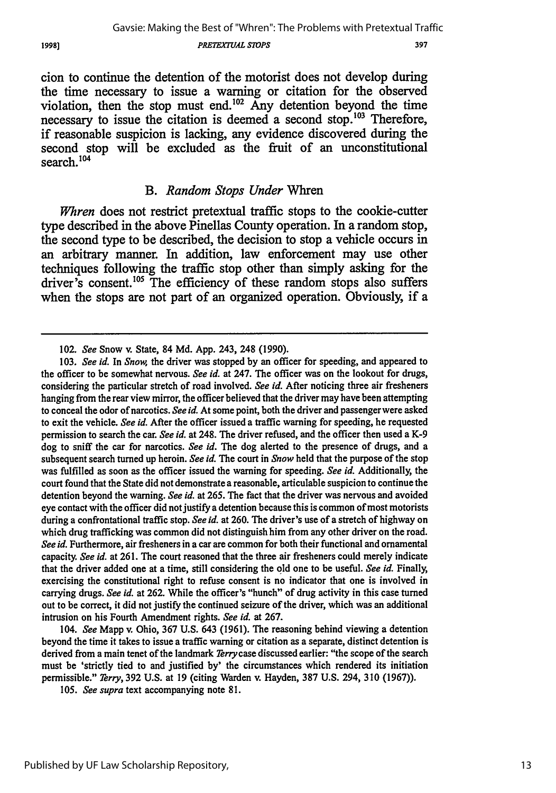19981

#### *PRETEXTUAL STOPS*

397

cion to continue the detention of the motorist does not develop during the time necessary to issue a warning or citation for the observed violation, then the stop must end.<sup>102</sup> Any detention beyond the time necessary to issue the citation is deemed a second stop.<sup>103</sup> Therefore, if reasonable suspicion is lacking, any evidence discovered during the second stop will be excluded as the fruit of an unconstitutional search.<sup>104</sup>

## *B. Random Stops Under* Whren

*Whren* does not restrict pretextual traffic stops to the cookie-cutter type described in the above Pinellas County operation. In a random stop, the second type to be described, the decision to stop a vehicle occurs in an arbitrary manner. In addition, law enforcement may use other techniques following the traffic stop other than simply asking for the driver's consent.<sup>105</sup> The efficiency of these random stops also suffers when the stops are not part of an organized operation. Obviously, if a

104. *See* Mapp v. Ohio, 367 U.S. 643 (1961). The reasoning behind viewing a detention beyond the time it takes to issue a traffic warning or citation as a separate, distinct detention is derived from a main tenet of the landmark Terrycase discussed earlier: "the scope of the search must be 'strictly tied to and justified by' the circumstances which rendered its initiation permissible." *Terry,* 392 U.S. at 19 (citing Warden v. Hayden, 387 U.S. 294, 310 (1967)).

*105. See supra* text accompanying note **81.**

<sup>102.</sup> *See* Snow v. State, 84 **Md. App.** 243, 248 **(1990).**

<sup>103.</sup> *See id.* In *Snow,* the driver was stopped by an officer for speeding, and appeared to the officer to be somewhat nervous. *See id.* at 247. The officer was on the lookout for drugs, considering the particular stretch of road involved. *See id.* After noticing three air fresheners hanging from the rear view mirror, the officer believed that the driver may have been attempting to conceal the odor of narcotics. *See id.* At some point, both the driver and passengerwere asked to exit the vehicle. *See id.* After the officer issued a traffic warning for speeding, he requested permission to search the car. *See id.* at 248. The driver refused, and the officer then used a K-9 dog to sniff the car for narcotics. *See id.* The dog alerted to the presence of drugs, and a subsequent search turned up heroin. *See id.* The court in *Snow* held that the purpose of the stop was fulfilled as soon as the officer issued the warning for speeding. *See id.* Additionally, the court found that the State did not demonstrate a reasonable, articulable suspicion to continue the detention beyond the warning. *See id.* at 265. The fact that the driver was nervous and avoided eye contact with the officer did not justify a detention because this is common of most motorists during a confrontational traffic stop. *See id.* at 260. The driver's use of a stretch of highway on which drug trafficking was common did not distinguish him from any other driver on the road. *See id.* Furthermore, air fresheners in a car are common for both their functional and ornamental capacity. *See id.* at 261. The court reasoned that the three air fresheners could merely indicate that the driver added one at a time, still considering the **old** one to be useful. *See id.* Finally, exercising the constitutional right to refuse consent is no indicator that one is involved in carrying drugs. *See id.* at 262. While the officer's "hunch" of drug activity in this case turned out to be correct, it did not justify the continued seizure of the driver, which was an additional intrusion on his Fourth Amendment rights. *See id.* at 267.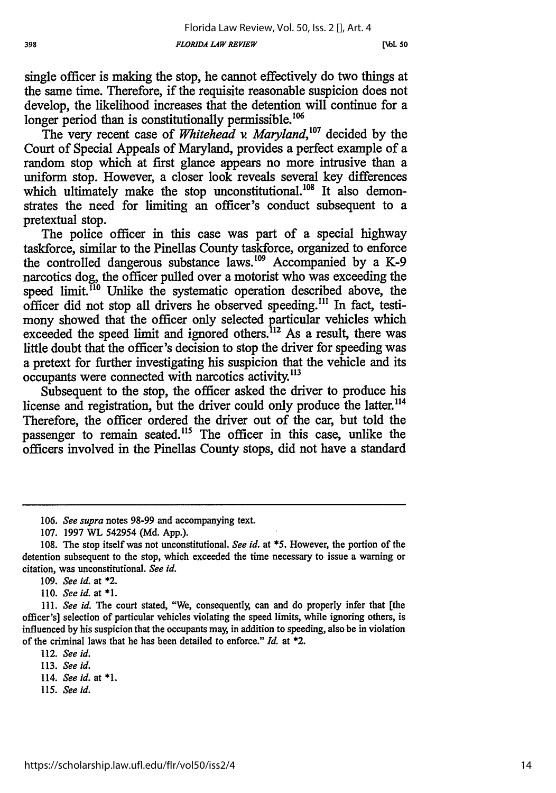**[NI. 50**

single officer is making the stop, he cannot effectively do two things at the same time. Therefore, if the requisite reasonable suspicion does not develop, the likelihood increases that the detention will continue for a longer period than is constitutionally permissible.<sup>106</sup>

The very recent case of *Whitehead v Maryland,'07* decided by the Court of Special Appeals of Maryland, provides a perfect example of a random stop which at first glance appears no more intrusive than a uniform stop. However, a closer look reveals several key differences which ultimately make the stop unconstitutional.<sup>108</sup> It also demonstrates the need for limiting an officer's conduct subsequent to a pretextual stop.

The police officer in this case was part of a special highway taskforce, similar to the Pinellas County taskforce, organized to enforce the controlled dangerous substance laws.<sup>109</sup> Accompanied by a K-9 narcotics dog, the officer pulled over a motorist who was exceeding the speed limit.<sup>110</sup> Unlike the systematic operation described above, the officer did not stop all drivers he observed speeding."' In fact, testimony showed that the officer only selected particular vehicles which exceeded the speed limit and ignored others.<sup>112</sup> As a result, there was little doubt that the officer's decision to stop the driver for speeding was a pretext for further investigating his suspicion that the vehicle and its occupants were connected with narcotics activity.13

Subsequent to the stop, the officer asked the driver to produce his license and registration, but the driver could only produce the latter.<sup>114</sup> Therefore, the officer ordered the driver out of the car, but told the passenger to remain seated.<sup>115</sup> The officer in this case, unlike the officers involved in the Pinellas County stops, did not have a standard

*110. See id.* **at\* \*1.**

- 113. *See id.*
- 114. See *id.* at *\*1.*
- 115. *See id.*

*<sup>106.</sup> See supra* notes 98-99 and accompanying text.

<sup>107. 1997</sup> **WTL** 542954 (Md. App.).

<sup>108.</sup> The stop itself was not unconstitutional. *See id.* at **\*5.** However, the portion of the detention subsequent to the stop, which exceeded the time necessary to issue a warning or citation, was unconstitutional. *See id.*

**<sup>109.</sup>** *See id.* at **\*2.**

<sup>111.</sup> *See id.* The court stated, "We, consequently, can and do properly infer that [the officer's] selection of particular vehicles violating the speed limits, while ignoring others, is influenced by his suspicion that the occupants may, in addition to speeding, also be in violation of the criminal laws that he has been detailed to enforce." *Id.* at \*2.

<sup>112.</sup> *See id.*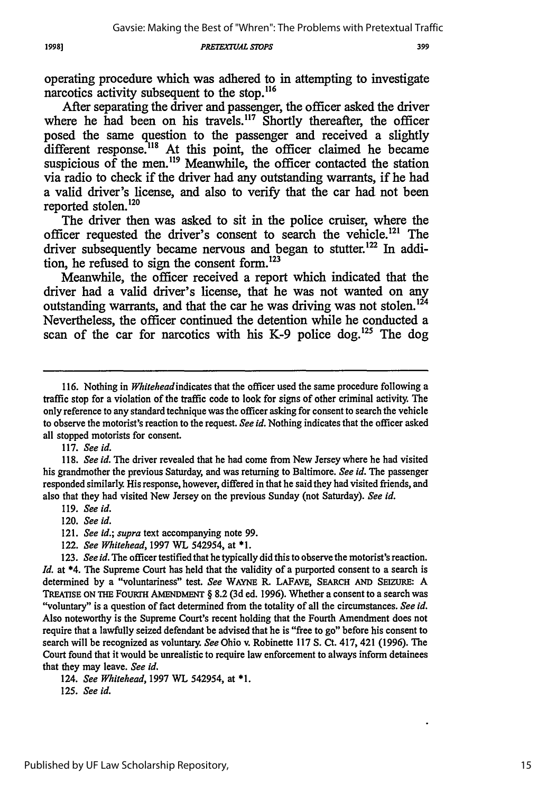*PRETEX7UAL STDPS*

operating procedure which was adhered to in attempting to investigate narcotics activity subsequent to the stop.<sup>116</sup>

After separating the driver and passenger, the officer asked the driver where he had been on his travels.<sup>117</sup> Shortly thereafter, the officer posed the same question to the passenger and received a slightly different response.<sup>118</sup> At this point, the officer claimed he became suspicious of the men. $^{119}$  Meanwhile, the officer contacted the station via radio to check if the driver had any outstanding warrants, if he had a valid driver's license, and also to verify that the car had, not been reported stolen.<sup>120</sup>

The driver then was asked to sit in the police cruiser, where the officer requested the driver's consent to search the vehicle.<sup>121</sup> The driver subsequently became nervous and began to stutter.<sup>122</sup> In addition, he refused to sign the consent form.<sup>123</sup>

Meanwhile, the officer received a report which indicated that the driver had a valid driver's license, that he was not wanted on any outstanding warrants, and that the car he was driving was not stolen.<sup>124</sup> Nevertheless, the officer continued the detention while he conducted a scan of the car for narcotics with his K-9 police dog.<sup>125</sup> The dog

117. *See id.*

118. *See id.* The driver revealed that he had come from New Jersey where he had visited his grandmother the previous Saturday, and was returning to Baltimore. *See id.* The passenger responded similarly. His response, however, differed in that he said they had visited friends, and also that they had visited New Jersey on the previous Sunday (not Saturday). *See id.*

122. *See Whitehead,* 1997 *WL* 542954, at \*1.

<sup>116.</sup> Nothing in *Whiteheadindicates* that the officer used the same procedure following a traffic stop for a violation of the traffic code to look for signs of other criminal activity. The only reference to any standard technique was the officer asking for consent to search the vehicle to observe the motorist's reaction to the request. *See id.* Nothing indicates that the officer asked all stopped motorists for consent.

<sup>119.</sup> *See id.*

<sup>120.</sup> *See id.*

<sup>121.</sup> *See id.; supra* text accompanying note 99.

<sup>123.</sup> *See id.* The officer testified that he typically did this to observe the motorist's reaction. *Id.* at \*4. The Supreme Court has held that the validity of a purported consent to a search is determined by a "voluntariness" test. *See* **WAYNE** R. LAFAVE, SEARCH **AND** SEizURE: A TREATISE ON THE FOURTH AMENDMENT § 8.2 (3d ed. 1996). Whether a consent to a search was "voluntary" is a question of fact determined from the totality of all the circumstances. *See id.* Also noteworthy is the Supreme Court's recent holding that the Fourth Amendment does not require that a lawfully seized defendant be advised that he is "free to go" before his consent to search will be recognized as voluntary. *See* Ohio v. Robinette 117 **S.** Ct. 417, 421 (1996). The Court found that it would be unrealistic to require law enforcement to always inform detainees that they may leave. *See id.*

<sup>124.</sup> *See Whitehead,* 1997 WL 542954, at \*1.

*<sup>125.</sup> See id.*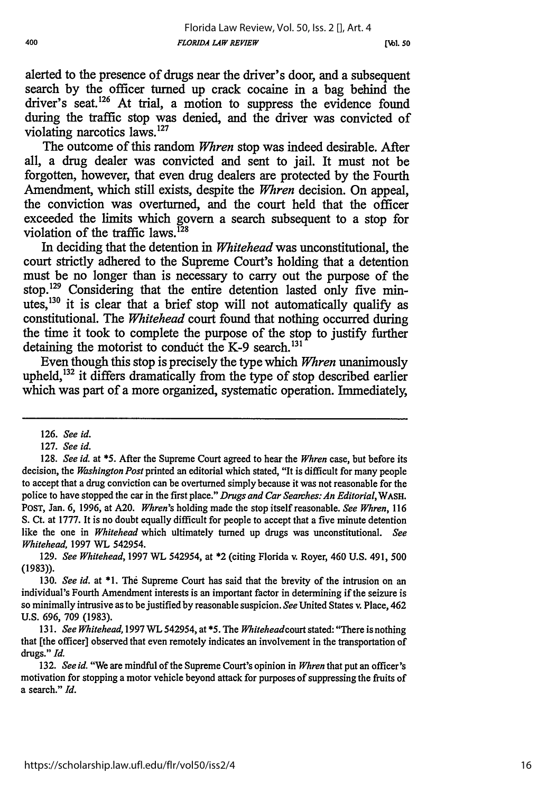alerted to the presence of drugs near the driver's door, and a subsequent search by the officer turned up crack cocaine in a bag behind the driver's seat.<sup>126</sup> At trial, a motion to suppress the evidence found during the traffic stop was denied, and the driver was convicted of violating narcotics laws.<sup>127</sup>

The outcome of this random *Whren* stop was indeed desirable. After all, a drug dealer was convicted and sent to jail. It must not be forgotten, however, that even drug dealers are protected by the Fourth Amendment, which still exists, despite the *Whren* decision. On appeal, the conviction was overturned, and the court held that the officer exceeded the limits which govern a search subsequent to a stop for violation of the traffic laws. $^{128}$ 

In deciding that the detention in *Whitehead* was unconstitutional, the court strictly adhered to the Supreme Court's holding that a detention must be no longer than is necessary to carry out the purpose of the stop.<sup>129</sup> Considering that the entire detention lasted only five minutes,  $130$  it is clear that a brief stop will not automatically qualify as constitutional. The *Whitehead* court found that nothing occurred during the time it took to complete the purpose of the stop to justify further detaining the motorist to conduct the K-9 search. $^{131}$ 

Even though this stop is precisely the type which *Whren* unanimously upheld, $132$  it differs dramatically from the type of stop described earlier which was part of a more organized, systematic operation. Immediately,

129. *See Whitehead,* **1997** WL 542954, at \*2 (citing Florida v. Royer, 460 U.S. 491, 500 (1983)).

**<sup>126.</sup>** *See id.*

<sup>127.</sup> *See id.*

<sup>128.</sup> *See id. at* **\*5.** After the Supreme Court agreed to hear the *Whren* case, but before its decision, the *Washington Post* printed an editorial which stated, "It is difficult for many people to accept that a drug conviction can be overturned simply because it was not reasonable for the police to have stopped the car in the first place." *Drugs and Car Searches: An Editorial, WAsH.* POST, Jan. 6, 1996, at A20. *Whren's* holding made the stop itself reasonable. *See Whren,* **<sup>116</sup>** S. Ct. at 1777. It is no doubt equally difficult for people to accept that a five minute detention like the one in *Whitehead* which ultimately turned up drugs was unconstitutional. *See Whitehead,* 1997 WL 542954.

**<sup>130.</sup>** *See id.* at **\*1.** The Supreme Court has said that the brevity of the intrusion on an individual's Fourth Amendment interests is an important factor in determining if the seizure is so minimally intrusive as to be justified by reasonable suspicion. *See* United States v. Place, 462 U.S. 696, 709 (1983).

<sup>131.</sup> *See Whitehead,* **1997** *WL 542954,* at *\*5. The Whiteheadcourt* stated: "There is nothing that [the officer] observed that even remotely indicates an involvement in the transportation of drugs." *Id.*

<sup>132.</sup> *See id.* "We are mindful of the Supreme Court's opinion in *Whren* that put an officer's motivation for stopping a motor vehicle beyond attack for purposes of suppressing the fruits of a search." *Id.*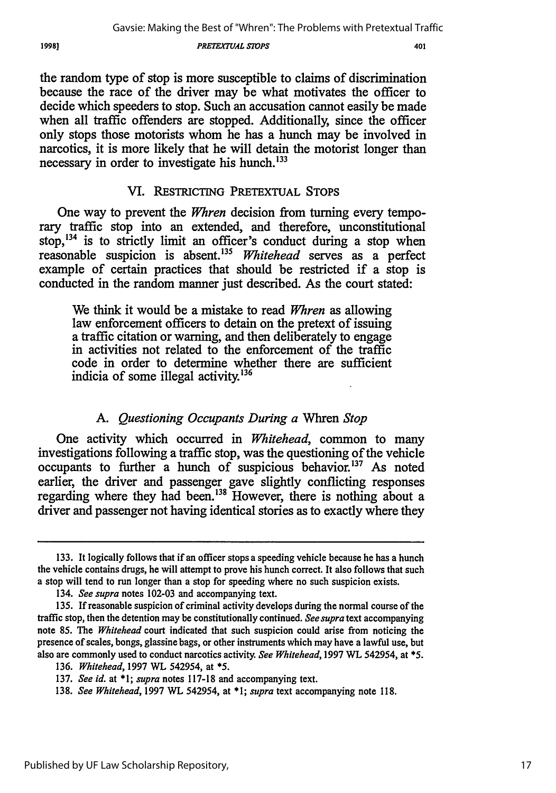1998)

#### *PRETEXTUAL S70PS*

the random type of stop is more susceptible to claims of discrimination because the race of the driver may be what motivates the officer to decide which speeders to stop. Such an accusation cannot easily be made when all traffic offenders are stopped. Additionally, since the officer only stops those motorists whom he has a hunch may be involved in narcotics, it is more likely that he will detain the motorist longer than necessary in order to investigate his hunch.<sup>133</sup>

## VI. RESTRICTING PRETEXTUAL **STOPS**

One way to prevent the *Whren* decision from turning every temporary traffic stop into an extended, and therefore, unconstitutional stop,<sup>134</sup> is to strictly limit an officer's conduct during a stop when reasonable suspicion is absent."' *Whitehead* serves as a perfect example of certain practices that should be restricted if a stop is conducted in the random manner just described. As the court stated:

We think it would be a mistake to read *Whren* as allowing law enforcement officers to detain on the pretext of issuing a traffic citation or warning, and then deliberately to engage in activities not related to the enforcement of the traffic code in order to determine whether there are sufficient indicia of some illegal activity.<sup>136</sup>

#### *A. Questioning Occupants During a* Whren *Stop*

One activity which occurred in *Whitehead,* common to many investigations following a traffic stop, was the questioning of the vehicle occupants to further a hunch of suspicious behavior.<sup>137</sup> As noted earlier, the driver and passenger gave slightly conflicting responses regarding where they had been.<sup>138</sup> However, there is nothing about a driver and passenger not having identical stories as to exactly where they

<sup>133.</sup> It logically follows that if an officer stops a speeding vehicle because he has a hunch the vehicle contains drugs, he will attempt to prove his hunch correct. It also follows that such a stop will tend to run longer than a stop for speeding where no such suspicion exists.

<sup>134.</sup> *See supra* notes 102-03 and accompanying text.

<sup>135.</sup> If reasonable suspicion of criminal activity develops during the normal course of the traffic stop, then the detention may be constitutionally continued. *See supra* text accompanying note 85. The *Whitehead* court indicated that such suspicion could arise from noticing the presence of scales, bongs, glassine bags, or other instruments which may have a lawful use, but also are commonly used to conduct narcotics activity. *See Whitehead,* 1997 WL 542954, at **\*5.**

<sup>136.</sup> *Whitehead,* 1997 WL 542954, at **\*5.**

<sup>137.</sup> *See id.* at \*1; *supra* notes 117-18 and accompanying text.

<sup>138.</sup> *See Whitehead,* 1997 WL 542954, at \*1; *supra* text accompanying note 118.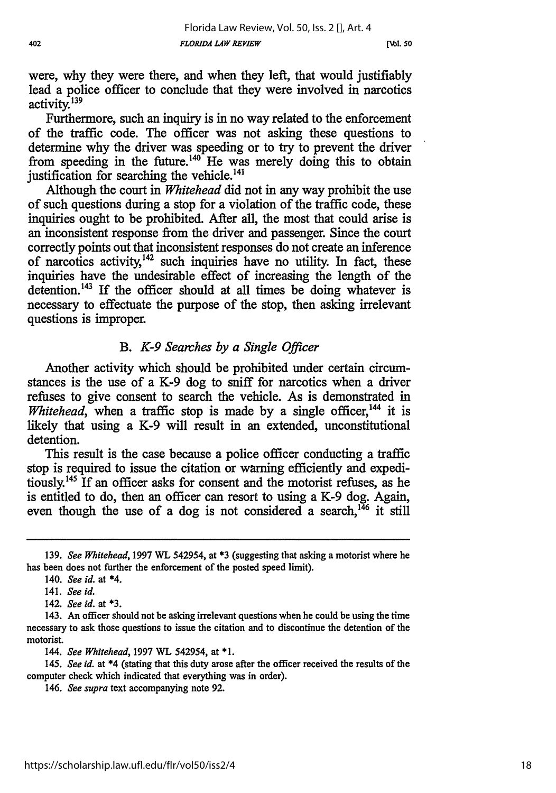**[Nol..50**

were, why they were there, and when they left, that would justifiably lead a police officer to conclude that they were involved in narcotics activity.<sup>139</sup>

Furthermore, such an inquiry is in no way related to the enforcement of the traffic code. The officer was not asking these questions to determine why the driver was speeding or to try to prevent the driver from speeding in the future.<sup>140</sup> He was merely doing this to obtain justification for searching the vehicle.<sup>141</sup>

Although the court in *Whitehead* did not in any way prohibit the use of such questions during a stop for a violation of the traffic code, these inquiries ought to be prohibited. After all, the most that could arise is an inconsistent response from the driver and passenger. Since the court correctly points out that inconsistent responses do not create an inference of narcotics activity,  $142$  such inquiries have no utility. In fact, these inquiries have the undesirable effect of increasing the length of the detention.<sup>143</sup> If the officer should at all times be doing whatever is necessary to effectuate the purpose of the stop, then asking irrelevant questions is improper.

## *B. K-9 Searches by a Single Officer*

Another activity which should be prohibited under certain circumstances is the use of a K-9 dog to sniff for narcotics when a driver refuses to give consent to search the vehicle. As is demonstrated in *Whitehead*, when a traffic stop is made by a single officer,<sup>144</sup> it is likely that using a K-9 will result in an extended, unconstitutional detention.

This result is the case because a police officer conducting a traffic stop is required to issue the citation or warning efficiently and expeditiously.145 If an officer asks for consent and the motorist refuses, as he is entitled to do, then an officer can resort to using a K-9 dog. Again, even though the use of a dog is not considered a search,<sup>146</sup> it still

142. *See id.* at **\*3.**

*144. See Whitehead,* 1997 WL 542954, at \*1.

*145. See id.* at \*4 (stating that this duty arose after the officer received the results of the computer check which indicated that everything was in order).

146. *See supra* text accompanying note **92.**

<sup>139.</sup> *See Whitehead,* 1997 WL 542954, at \*3 (suggesting that asking a motorist where he has been does not further the enforcement of the posted speed limit).

<sup>140.</sup> *See id.* at \*4.

<sup>141.</sup> *See id.*

<sup>143.</sup> An officer should not be asking irrelevant questions when he could be using the time necessary to ask those questions to issue the citation and to discontinue the detention of the motorist.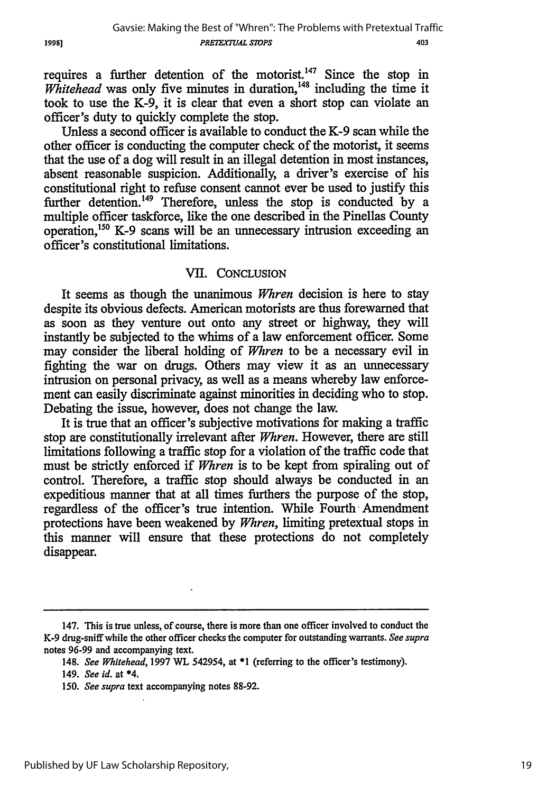requires a further detention of the motorist.<sup>147</sup> Since the stop in *Whitehead* was only five minutes in duration,<sup>148</sup> including the time it took to use the K-9, it is clear that even a short stop can violate an officer's duty to quickly complete the stop.

Unless a second officer is available to conduct the K-9 scan while the other officer is conducting the computer check of the motorist, it seems that the use of a dog will result in an illegal detention in most instances, absent reasonable suspicion. Additionally, a driver's exercise of his constitutional right to refuse consent cannot ever be used to justify this further detention.<sup>149</sup> Therefore, unless the stop is conducted by a multiple officer taskforce, like the one described in the Pinellas County operation, 50 K-9 scans will be an unnecessary intrusion exceeding an officer's constitutional limitations.

#### VII. CONCLUSION

It seems as though the unanimous *Whren* decision is here to stay despite its obvious defects. American motorists are thus forewarned that as soon as they venture out onto any street or highway, they will instantly be subjected to the whims of a law enforcement officer. Some may consider the liberal holding of *Whren* to be a necessary evil in fighting the war on drugs. Others may view it as an unnecessary intrusion on personal privacy, as well as a means whereby law enforcement can easily discriminate against minorities in deciding who to stop. Debating the issue, however, does not change the law.

It is true that an officer's subjective motivations for making a traffic stop are constitutionally irrelevant after *Whren.* However, there are still limitations following a traffic stop for a violation of the traffic code that must be strictly enforced if *Whren* is to be kept from spiraling out of control. Therefore, a traffic stop should always be conducted in an expeditious manner that at all times furthers the purpose of the stop, regardless of the officer's true intention. While Fourth Amendment protections have been weakened by *Whren,* limiting pretextual stops in this manner will ensure that these protections do not completely disappear.

19981

<sup>147.</sup> This is true unless, of course, there is more than one officer involved to conduct the K-9 drug-sniff while the other officer checks the computer for outstanding warrants. *See supra* notes 96-99 and accompanying text.

<sup>148.</sup> *See Whitehead,* 1997 WL 542954, at \*1 (referring to the officer's testimony).

<sup>149.</sup> *See id.* at \*4.

*<sup>150.</sup> See supra* text accompanying notes 88-92.